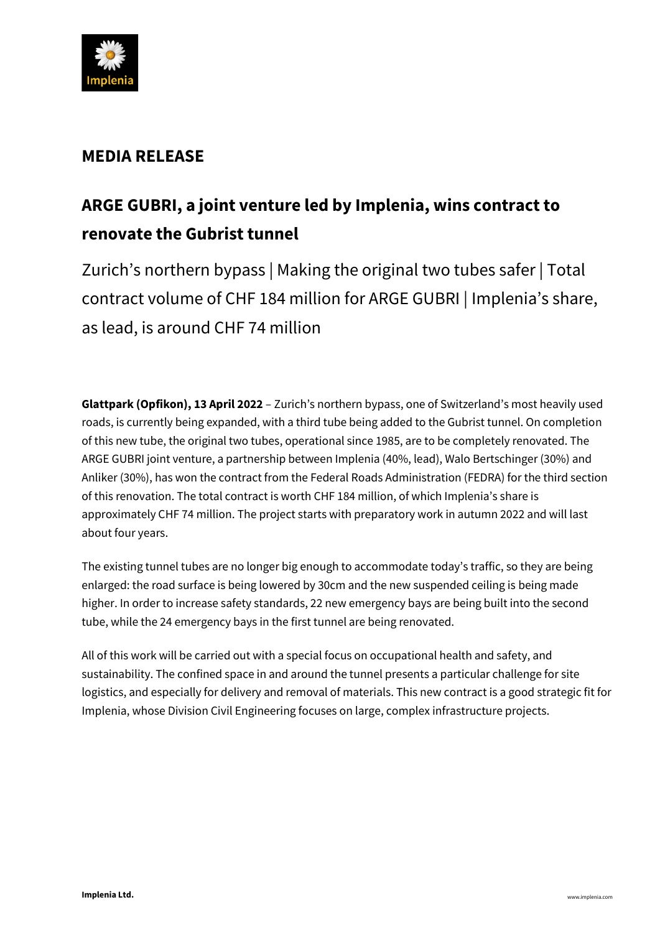

# **MEDIA RELEASE**

# **ARGE GUBRI, a joint venture led by Implenia, wins contract to renovate the Gubrist tunnel**

Zurich's northern bypass | Making the original two tubes safer | Total contract volume of CHF 184 million for ARGE GUBRI | Implenia's share, as lead, is around CHF 74 million

**Glattpark (Opfikon), 13 April 2022** – Zurich's northern bypass, one of Switzerland's most heavily used roads, is currently being expanded, with a third tube being added to the Gubrist tunnel. On completion of this new tube, the original two tubes, operational since 1985, are to be completely renovated. The ARGE GUBRI joint venture, a partnership between Implenia (40%, lead), Walo Bertschinger (30%) and Anliker (30%), has won the contract from the Federal Roads Administration (FEDRA) for the third section of this renovation. The total contract is worth CHF 184 million, of which Implenia's share is approximately CHF 74 million. The project starts with preparatory work in autumn 2022 and will last about four years.

The existing tunnel tubes are no longer big enough to accommodate today's traffic, so they are being enlarged: the road surface is being lowered by 30cm and the new suspended ceiling is being made higher. In order to increase safety standards, 22 new emergency bays are being built into the second tube, while the 24 emergency bays in the first tunnel are being renovated.

All of this work will be carried out with a special focus on occupational health and safety, and sustainability. The confined space in and around the tunnel presents a particular challenge for site logistics, and especially for delivery and removal of materials. This new contract is a good strategic fit for Implenia, whose Division Civil Engineering focuses on large, complex infrastructure projects.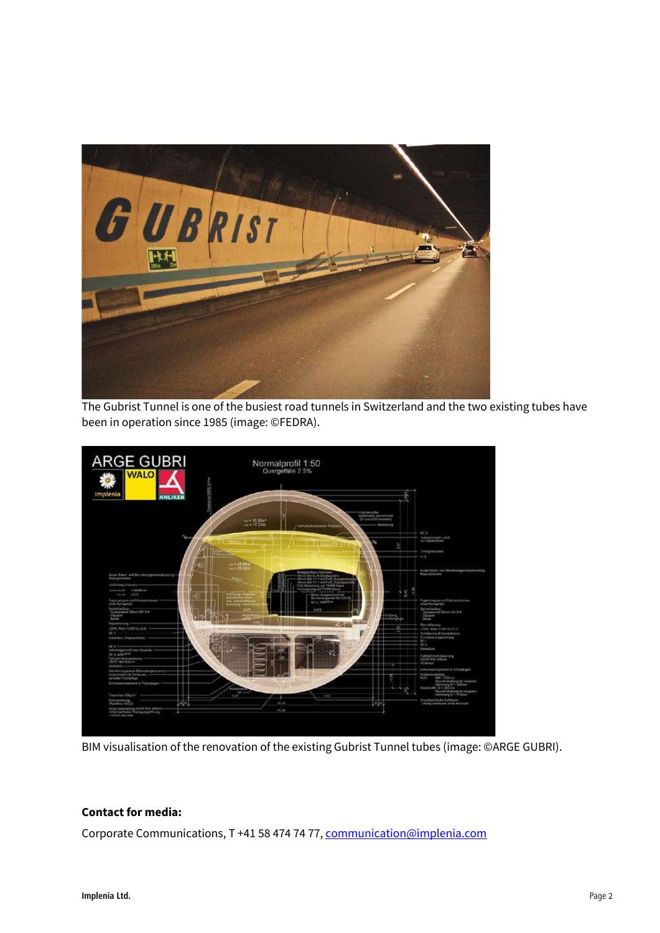

The Gubrist Tunnel is one of the busiest road tunnels in Switzerland and the two existing tubes have been in operation since 1985 (image: ©FEDRA).



BIM visualisation of the renovation of the existing Gubrist Tunnel tubes (image: ©ARGE GUBRI).

## **Contact for media:**

Corporate Communications, T +41 58 474 74 77[, communication@implenia.com](mailto:communication@implenia.com)